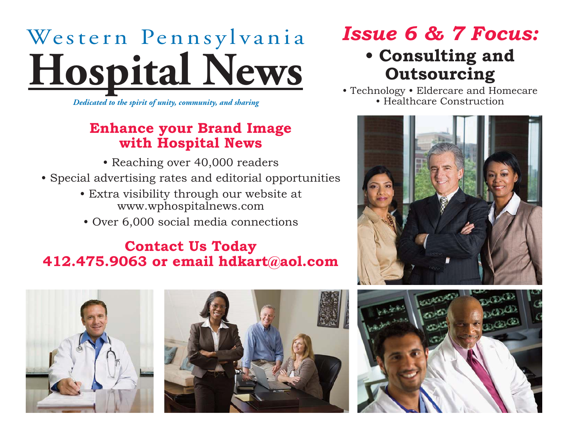## Western Pennsylvania **Hospital News**

*Dedicated to the spirit of unity, community, and sharing*

#### **Enhance your Brand Image with Hospital News**

- Reaching over 40,000 readers
- Special advertising rates and editorial opportunities
	- Extra visibility through our website at www.wphospitalnews.com
	- Over 6,000 social media connections

#### **Contact Us Today 412.475.9063 or email hdkart@aol.com**



### **• Consulting and Outsourcing**

• Technology • Eldercare and Homecare • Healthcare Construction